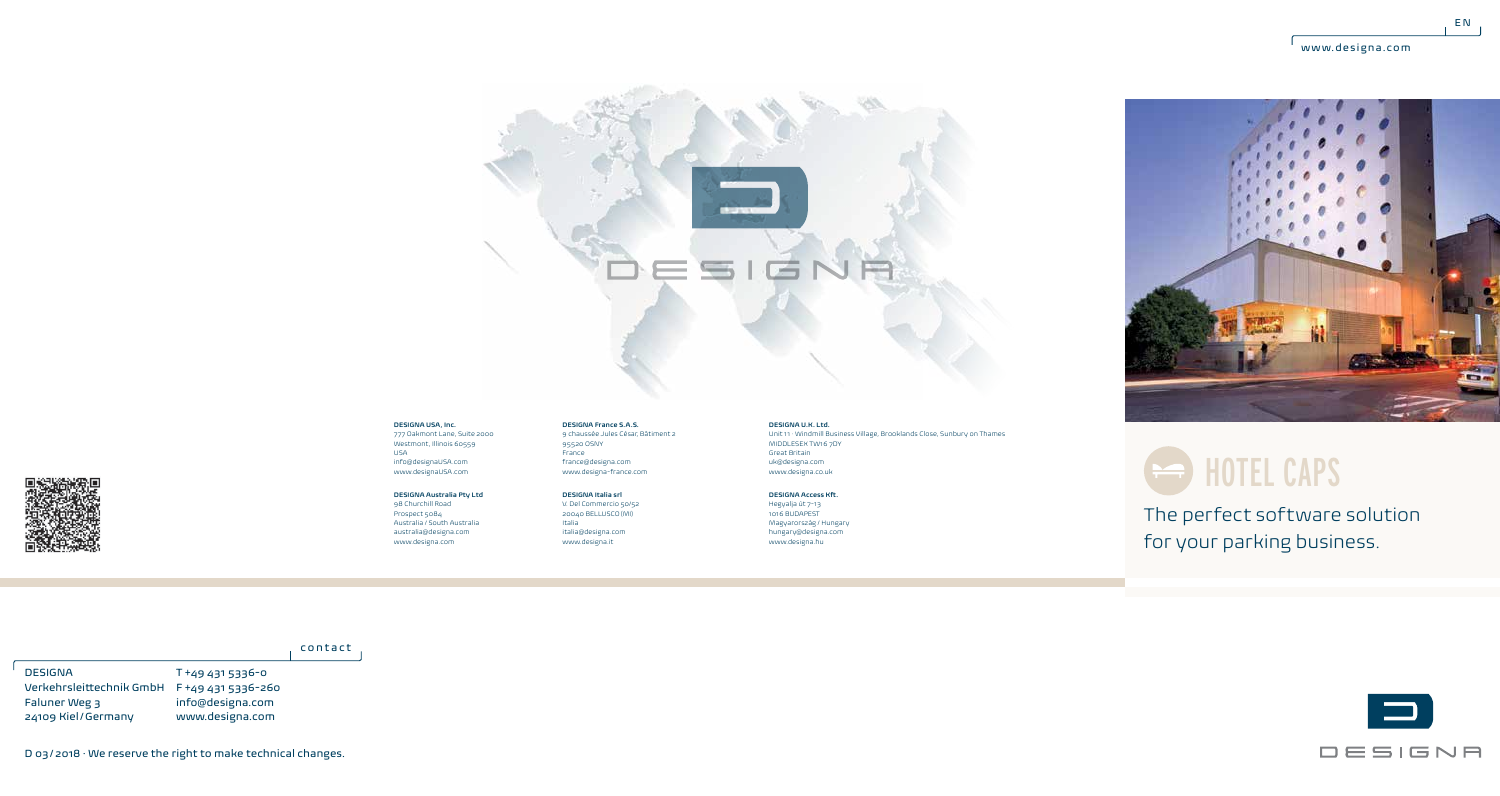$E N$ 





777 Oakmont Lane, Suite 2000 Westmont, Illinois 60559 USA info@designaUSA.com www.designaUSA.com

#### **DESIGNA Australia Pty Ltd** 98 Churchill Road

Prospect 5084 Australia / South Australia australia@designa.com www.designa.com

9 chaussée Jules César, Bâtiment 2  $95520$  OSNY France france@designa.com www.designa-france.com **DESIGNA Italia srl**

**DESIGNA France S.A.S.**

V. Del Commercio 50/52 20040 BELLUSCO (MI) Italia italia@designa.com www.designa.it

**DESIGNA U.K. Ltd.**

Unit 11 · Windmill Business Village, Brooklands Close, Sunbury on Thames MIDDLESEX TW16 7DY Great Britain uk@designa.com www.designa.co.uk

**DESIGNA Access Kft.** Hegyalja út 7-13 1016 BUDAPEST

Magyarország / Hungary hungary@designa.com www.designa.hu



## **But HOTEL CAPS**

The perfect software solution for your parking business.

#### contact

T +49 431 5336-0 Verkehrsleittechnik GmbH F +49 431 5336-260 info@designa.com www.designa.com DESIGNA Faluner Weg 3 24109 Kiel/Germany